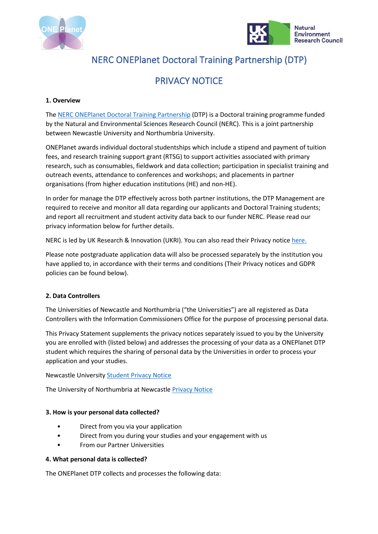



# NERC ONEPlanet Doctoral Training Partnership (DTP)

# PRIVACY NOTICE

### **1. Overview**

The NERC ONEPlanet Doctoral Training Partnership (DTP) is a Doctoral training programme funded by the Natural and Environmental Sciences Research Council (NERC). This is a joint partnership between Newcastle University and Northumbria University.

ONEPlanet awards individual doctoral studentships which include a stipend and payment of tuition fees, and research training support grant (RTSG) to support activities associated with primary research, such as consumables, fieldwork and data collection; participation in specialist training and outreach events, attendance to conferences and workshops; and placements in partner organisations (from higher education institutions (HE) and non-HE).

In order for manage the DTP effectively across both partner institutions, the DTP Management are required to receive and monitor all data regarding our applicants and Doctoral Training students; and report all recruitment and student activity data back to our funder NERC. Please read our privacy information below for further details.

NERC is led by UK Research & Innovation (UKRI). You can also read their Privacy notic[e here.](https://www.ukri.org/about-us/privacy-notice/)

Please note postgraduate application data will also be processed separately by the institution you have applied to, in accordance with their terms and conditions (Their Privacy notices and GDPR policies can be found below).

# **2. Data Controllers**

The Universities of Newcastle and Northumbria ("the Universities") are all registered as Data Controllers with the Information Commissioners Office for the purpose of processing personal data.

This Privacy Statement supplements the privacy notices separately issued to you by the University you are enrolled with (listed below) and addresses the processing of your data as a ONEPlanet DTP student which requires the sharing of personal data by the Universities in order to process your application and your studies.

#### Newcastle Universit[y Student Privacy Notice](https://www.ncl.ac.uk/data.protection/informationforstudents/studentdatacollectionnotices/)

The University of Northumbria at Newcastle [Privacy Notice](https://northumbria-cdn.azureedge.net/-/media/corporate-website/new-sitecore-gallery/services/legal/gdpr/pdf/privnot/enqappprivacynoticev1.pdf?modified=20200717151452)

#### **3. How is your personal data collected?**

- Direct from you via your application
- Direct from you during your studies and your engagement with us
- From our Partner Universities

#### **4. What personal data is collected?**

The ONEPlanet DTP collects and processes the following data: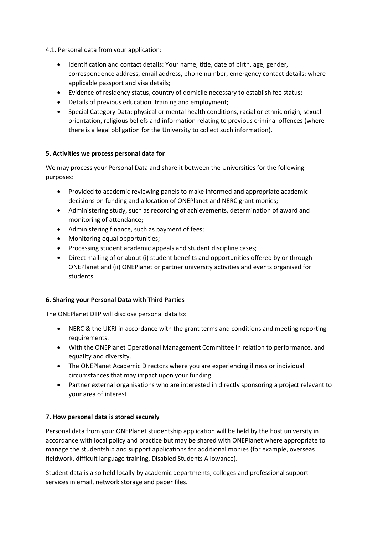4.1. Personal data from your application:

- Identification and contact details: Your name, title, date of birth, age, gender, correspondence address, email address, phone number, emergency contact details; where applicable passport and visa details;
- Evidence of residency status, country of domicile necessary to establish fee status;
- Details of previous education, training and employment;
- Special Category Data: physical or mental health conditions, racial or ethnic origin, sexual orientation, religious beliefs and information relating to previous criminal offences (where there is a legal obligation for the University to collect such information).

#### **5. Activities we process personal data for**

We may process your Personal Data and share it between the Universities for the following purposes:

- Provided to academic reviewing panels to make informed and appropriate academic decisions on funding and allocation of ONEPlanet and NERC grant monies;
- Administering study, such as recording of achievements, determination of award and monitoring of attendance;
- Administering finance, such as payment of fees;
- Monitoring equal opportunities;
- Processing student academic appeals and student discipline cases;
- Direct mailing of or about (i) student benefits and opportunities offered by or through ONEPlanet and (ii) ONEPlanet or partner university activities and events organised for students.

#### **6. Sharing your Personal Data with Third Parties**

The ONEPlanet DTP will disclose personal data to:

- NERC & the UKRI in accordance with the grant terms and conditions and meeting reporting requirements.
- With the ONEPlanet Operational Management Committee in relation to performance, and equality and diversity.
- The ONEPlanet Academic Directors where you are experiencing illness or individual circumstances that may impact upon your funding.
- Partner external organisations who are interested in directly sponsoring a project relevant to your area of interest.

# **7. How personal data is stored securely**

Personal data from your ONEPlanet studentship application will be held by the host university in accordance with local policy and practice but may be shared with ONEPlanet where appropriate to manage the studentship and support applications for additional monies (for example, overseas fieldwork, difficult language training, Disabled Students Allowance).

Student data is also held locally by academic departments, colleges and professional support services in email, network storage and paper files.